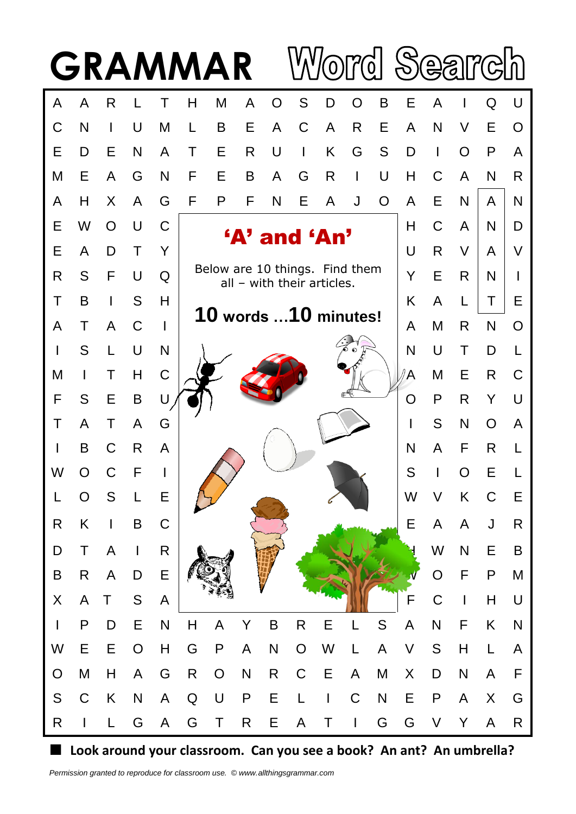

**Look around your classroom. Can you see a book? An ant? An umbrella?**